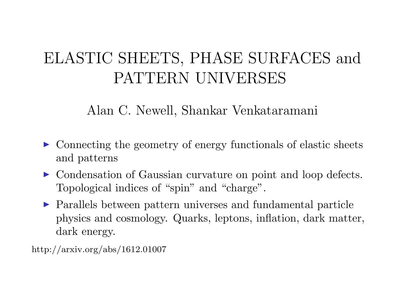# ELASTIC SHEETS, PHASE SURFACES and PATTERN UNIVERSES

Alan C. Newell, Shankar Venkataramani

- ▶ Connecting the geometry of energy functionals of elastic sheets and patterns
- ▶ Condensation of Gaussian curvature on point and loop defects. Topological indices of "spin" and "charge".
- **Parallels between pattern universes and fundamental particle** physics and cosmology. Quarks, leptons, inflation, dark matter, dark energy.

http://arxiv.org/abs/1612.01007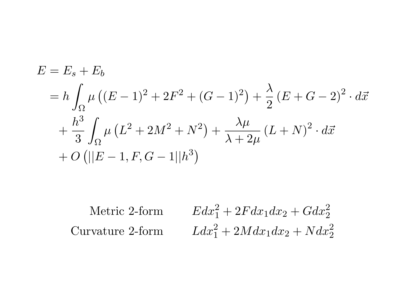$$
E = E_s + E_b
$$
  
=  $h \int_{\Omega} \mu ((E - 1)^2 + 2F^2 + (G - 1)^2) + \frac{\lambda}{2} (E + G - 2)^2 \cdot d\vec{x}$   
+  $\frac{h^3}{3} \int_{\Omega} \mu (L^2 + 2M^2 + N^2) + \frac{\lambda \mu}{\lambda + 2\mu} (L + N)^2 \cdot d\vec{x}$   
+  $O (||E - 1, F, G - 1||h^3)$ 

$$
\begin{aligned}\n\text{Metric 2-form} \qquad & Edx_1^2 + 2Fdx_1dx_2 + Gdx_2^2 \\
\text{Curvature 2-form} \qquad & Ldx_1^2 + 2Mdx_1dx_2 + Ndx_2^2\n\end{aligned}
$$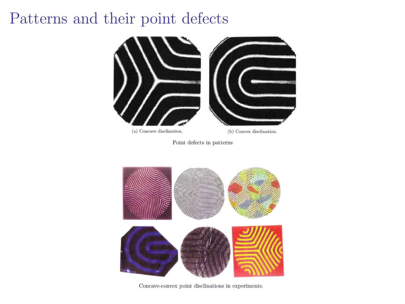### Patterns and their point defects



Point defects in patterns



Concave-convex point disclinations in experiments.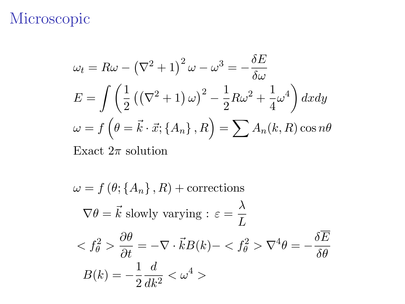## Microscopic

$$
\omega_t = R\omega - (\nabla^2 + 1)^2 \omega - \omega^3 = -\frac{\delta E}{\delta \omega}
$$
  
\n
$$
E = \int \left(\frac{1}{2} ((\nabla^2 + 1) \omega)^2 - \frac{1}{2} R \omega^2 + \frac{1}{4} \omega^4\right) dxdy
$$
  
\n
$$
\omega = f \left(\theta = \vec{k} \cdot \vec{x}; \{A_n\}, R\right) = \sum A_n(k, R) \cos n\theta
$$

Exact  $2\pi$  solution

$$
\omega = f(\theta; \{A_n\}, R) + \text{corrections}
$$
  

$$
\nabla \theta = \vec{k} \text{ slowly varying : } \varepsilon = \frac{\lambda}{L}
$$
  

$$
\langle f_\theta^2 \rangle \frac{\partial \theta}{\partial t} = -\nabla \cdot \vec{k} B(k) - \langle f_\theta^2 \rangle \nabla^4 \theta = -\frac{\delta \overline{E}}{\delta \theta}
$$
  

$$
B(k) = -\frac{1}{2} \frac{d}{dk^2} \langle \omega^4 \rangle
$$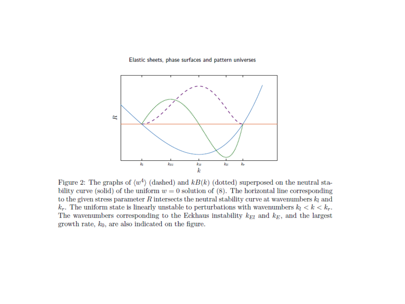#### Elastic sheets, phase surfaces and pattern universes



Figure 2: The graphs of  $\langle w^4 \rangle$  (dashed) and kB(k) (dotted) superposed on the neutral stability curve (solid) of the uniform  $w = 0$  solution of (8). The horizontal line corresponding to the given stress parameter  $R$  intersects the neutral stability curve at wavenumbers  $k_l$  and  $k_r$ . The uniform state is linearly unstable to perturbations with wavenumbers  $k_l < k < k_r$ . The wavenumbers corresponding to the Eckhaus instability  $k_{El}$  and  $k_E$ , and the largest growth rate,  $k_0$ , are also indicated on the figure.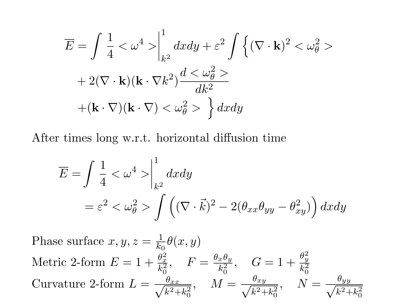$$
\overline{E} = \int \frac{1}{4} < \omega^4 > \Big|_{k^2}^1 dx dy + \varepsilon^2 \int \left\{ (\nabla \cdot \mathbf{k})^2 < \omega_\theta^2 > + 2(\nabla \cdot \mathbf{k})(\mathbf{k} \cdot \nabla k^2) \frac{d < \omega_\theta^2 >}{dk^2} \n+ (\mathbf{k} \cdot \nabla)(\mathbf{k} \cdot \nabla) < \omega_\theta^2 > \right\} dx dy
$$

After times long w.r.t. horizontal diffusion time

$$
\overline{E} = \int \frac{1}{4} < \omega^4 > \Big|_{k^2}^1 dx dy
$$
  
=  $\varepsilon^2 < \omega_\theta^2 > \int \left( (\nabla \cdot \vec{k})^2 - 2(\theta_{xx}\theta_{yy} - \theta_{xy}^2) \right) dx dy$ 

Phase surface  $x, y, z = \frac{1}{k}$  $\frac{1}{k_0}\theta(x,y)$ Metric 2-form  $E = 1 + \frac{\theta_x^2}{k_0^2}$ ,  $F = \frac{\theta_x \theta_y}{k_0^2}$ Metric 2-form  $E = 1 + \frac{\theta_x^2}{k_0^2}$ ,  $F = \frac{\theta_x \theta_y}{k_0^2}$ ,  $G = 1 + \frac{\theta_y^2}{k_0^2}$ <br>Curvature 2-form  $L = \frac{\theta_{xx}}{\sqrt{R^2 + k_0^2}}$ ,  $M = \frac{\theta_{xy}}{\sqrt{R^2 + k_0^2}}$ ,  $N$  $\frac{\theta_{xx}}{k^2 + k_0^2}$ ,  $M = \frac{\theta_{xy}}{\sqrt{k^2 + k_0^2}}$  $\frac{\theta_{xy}}{k^2 + k_0^2}$ ,  $N = \frac{\theta_{yy}}{\sqrt{k^2 + k_0^2}}$  $k^2+k$ 2 0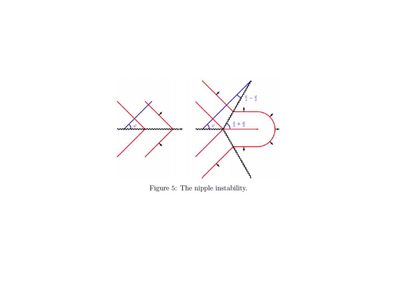

Figure 5: The nipple instability.  $\;$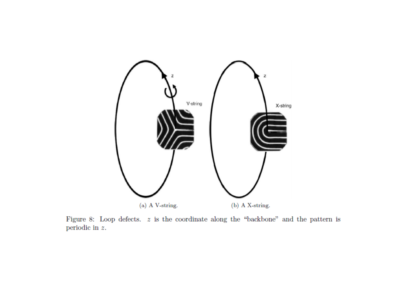

Figure 8: Loop defects.  $z$  is the coordinate along the "backbone" and the pattern is periodic in  $\boldsymbol{z}.$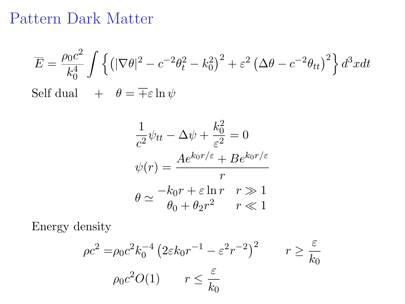#### Pattern Dark Matter

$$
\overline{E} = \frac{\rho_0 c^2}{k_0^4} \int \left\{ \left( |\nabla \theta|^2 - c^{-2} \theta_t^2 - k_0^2 \right)^2 + \varepsilon^2 \left( \Delta \theta - c^{-2} \theta_{tt} \right)^2 \right\} d^3x dt
$$
  
Self dual  $+ \theta = \overline{+} \varepsilon \ln \psi$ 

$$
\frac{1}{c^2}\psi_{tt} - \Delta\psi + \frac{k_0^2}{\varepsilon^2} = 0
$$

$$
\psi(r) = \frac{Ae^{k_0r/\varepsilon} + Be^{k_0r/\varepsilon}}{r}
$$

$$
\theta \simeq \frac{-k_0r + \varepsilon \ln r \quad r \gg 1}{\theta_0 + \theta_2 r^2} \qquad r \ll 1
$$

Energy density

$$
\rho c^2 = \rho_0 c^2 k_0^{-4} \left( 2\varepsilon k_0 r^{-1} - \varepsilon^2 r^{-2} \right)^2 \qquad r \ge \frac{\varepsilon}{k_0}
$$

$$
\rho_0 c^2 O(1) \qquad r \le \frac{\varepsilon}{k_0}
$$